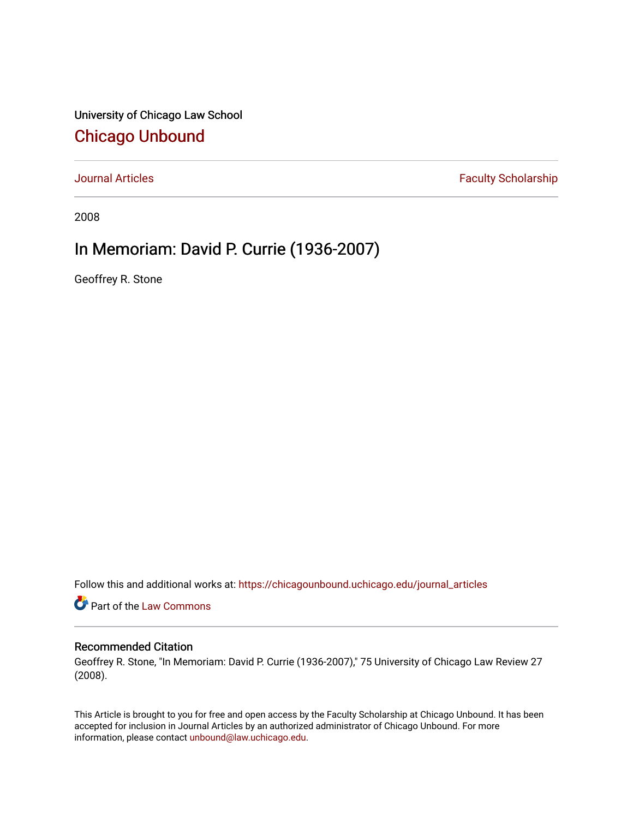University of Chicago Law School [Chicago Unbound](https://chicagounbound.uchicago.edu/)

[Journal Articles](https://chicagounbound.uchicago.edu/journal_articles) **Faculty Scholarship Faculty Scholarship** 

2008

## In Memoriam: David P. Currie (1936-2007)

Geoffrey R. Stone

Follow this and additional works at: [https://chicagounbound.uchicago.edu/journal\\_articles](https://chicagounbound.uchicago.edu/journal_articles?utm_source=chicagounbound.uchicago.edu%2Fjournal_articles%2F5543&utm_medium=PDF&utm_campaign=PDFCoverPages) 

Part of the [Law Commons](http://network.bepress.com/hgg/discipline/578?utm_source=chicagounbound.uchicago.edu%2Fjournal_articles%2F5543&utm_medium=PDF&utm_campaign=PDFCoverPages)

## Recommended Citation

Geoffrey R. Stone, "In Memoriam: David P. Currie (1936-2007)," 75 University of Chicago Law Review 27 (2008).

This Article is brought to you for free and open access by the Faculty Scholarship at Chicago Unbound. It has been accepted for inclusion in Journal Articles by an authorized administrator of Chicago Unbound. For more information, please contact [unbound@law.uchicago.edu](mailto:unbound@law.uchicago.edu).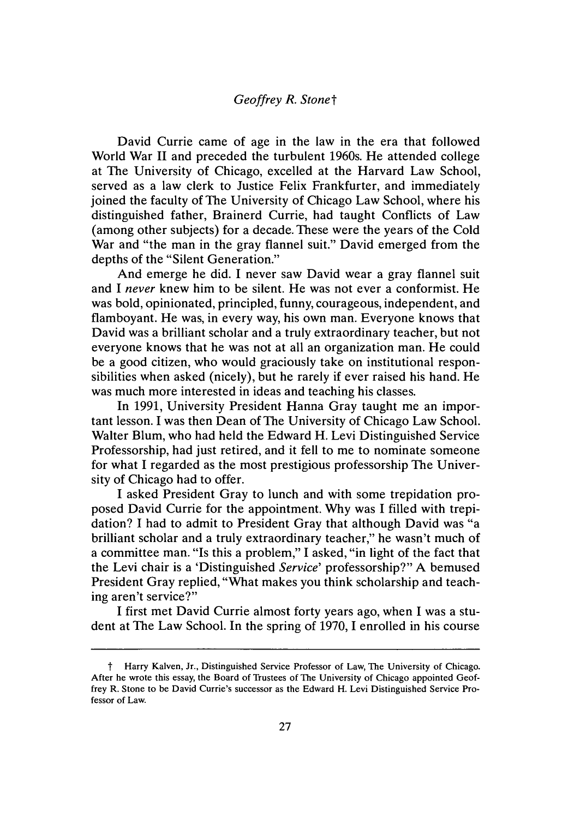David Currie came of age in the law in the era that followed World War II and preceded the turbulent 1960s. He attended college at The University of Chicago, excelled at the Harvard Law School, served as a law clerk to Justice Felix Frankfurter, and immediately joined the faculty of The University of Chicago Law School, where his distinguished father, Brainerd Currie, had taught Conflicts of Law (among other subjects) for a decade. These were the years of the Cold War and "the man in the gray flannel suit." David emerged from the depths of the "Silent Generation."

And emerge he did. I never saw David wear a gray flannel suit and I *never* knew him to be silent. He was not ever a conformist. He was bold, opinionated, principled, funny, courageous, independent, and flamboyant. He was, in every way, his own man. Everyone knows that David was a brilliant scholar and a truly extraordinary teacher, but not everyone knows that he was not at all an organization man. He could be a good citizen, who would graciously take on institutional responsibilities when asked (nicely), but he rarely if ever raised his hand. He was much more interested in ideas and teaching his classes.

In 1991, University President Hanna Gray taught me an important lesson. I was then Dean of The University of Chicago Law School. Walter Blum, who had held the Edward H. Levi Distinguished Service Professorship, had just retired, and it fell to me to nominate someone for what I regarded as the most prestigious professorship The University of Chicago had to offer.

I asked President Gray to lunch and with some trepidation proposed David Currie for the appointment. Why was I filled with trepidation? I had to admit to President Gray that although David was "a brilliant scholar and a truly extraordinary teacher," he wasn't much of a committee man. "Is this a problem," I asked, "in light of the fact that the Levi chair is a 'Distinguished *Service'* professorship?" A bemused President Gray replied, "What makes you think scholarship and teaching aren't service?"

I first met David Currie almost forty years ago, when I was a student at The Law School. In the spring of 1970, I enrolled in his course

t **Harry** Kalven, Jr., Distinguished Service **Professor of** Law, **The** University **of** Chicago. After he **wrote** this essay, the **Board of** Trustees **of** The University **of** Chicago appointed Geoffrey R. Stone **to** be **David** Currie's successor as the **Edward** H. Levi Distinguished Service **Pro**fessor **of** Law.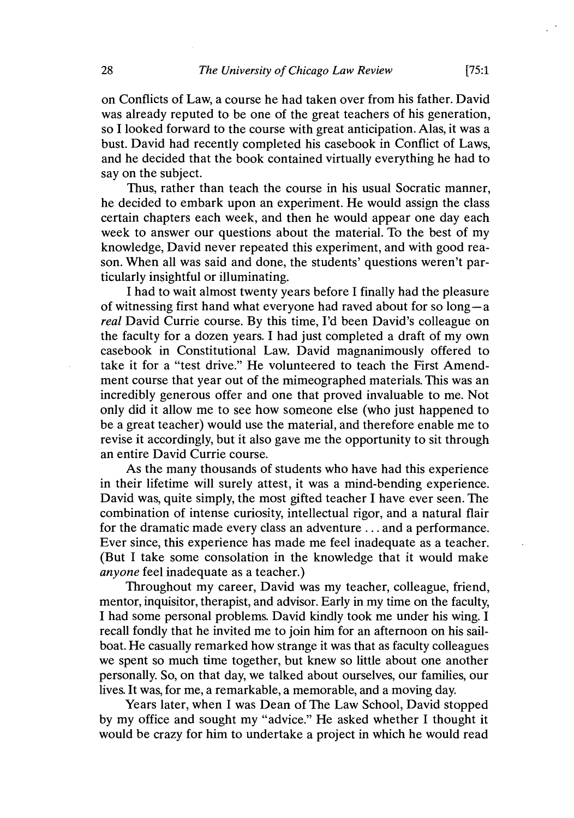on Conflicts of Law, a course he had taken over from his father. David was already reputed to be one of the great teachers of his generation, so I looked forward to the course with great anticipation. Alas, it was a bust. David had recently completed his casebook in Conflict of Laws, and he decided that the book contained virtually everything he had to say on the subject.

Thus, rather than teach the course in his usual Socratic manner, he decided to embark upon an experiment. He would assign the class certain chapters each week, and then he would appear one day each week to answer our questions about the material. To the best of my knowledge, David never repeated this experiment, and with good reason. When all was said and done, the students' questions weren't particularly insightful or illuminating.

I had to wait almost twenty years before I finally had the pleasure of witnessing first hand what everyone had raved about for so long-a *real* David Currie course. By this time, I'd been David's colleague on the faculty for a dozen years. I had just completed a draft of my own casebook in Constitutional Law. David magnanimously offered to take it for a "test drive." He volunteered to teach the First Amendment course that year out of the mimeographed materials. This was an incredibly generous offer and one that proved invaluable to me. Not only did it allow me to see how someone else (who just happened to be a great teacher) would use the material, and therefore enable me to revise it accordingly, but it also gave me the opportunity to sit through an entire David Currie course.

As the many thousands of students who have had this experience in their lifetime will surely attest, it was a mind-bending experience. David was, quite simply, the most gifted teacher I have ever seen. The combination of intense curiosity, intellectual rigor, and a natural flair for the dramatic made every class an adventure ... and a performance. Ever since, this experience has made me feel inadequate as a teacher. (But I take some consolation in the knowledge that it would make *anyone* feel inadequate as a teacher.)

Throughout my career, David was my teacher, colleague, friend, mentor, inquisitor, therapist, and advisor. Early in my time on the faculty, I had some personal problems. David kindly took me under his wing. I recall fondly that he invited me to join him for an afternoon on his sailboat. He casually remarked how strange it was that as faculty colleagues we spent so much time together, but knew so little about one another personally. So, on that day, we talked about ourselves, our families, our lives. It was, for me, a remarkable, a memorable, and a moving day.

Years later, when I was Dean of The Law School, David stopped by my office and sought my "advice." He asked whether I thought it would be crazy for him to undertake a project in which he would read